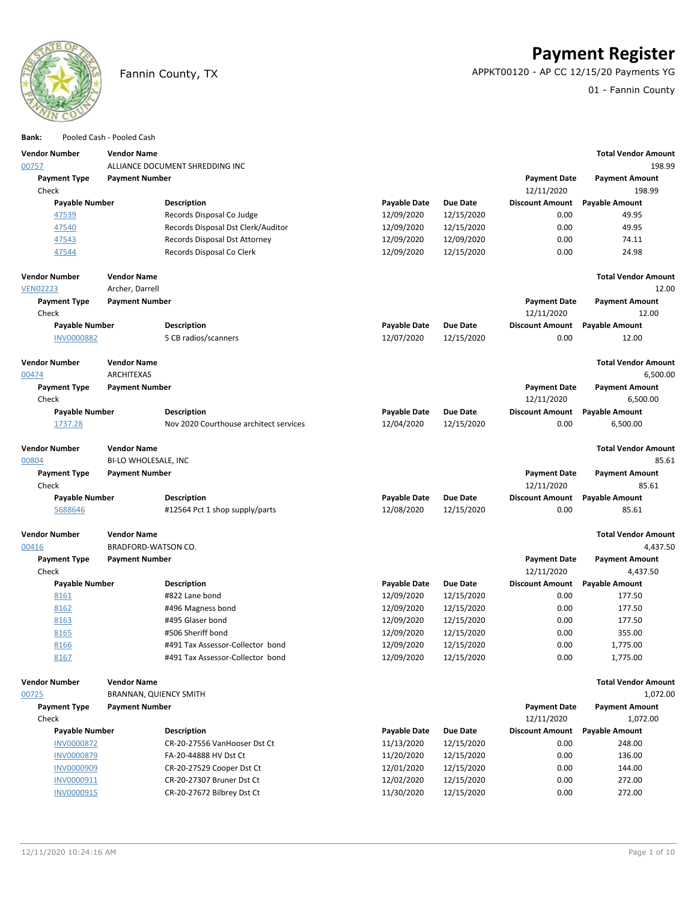

**Payment Register**

Fannin County, TX APPKT00120 - AP CC 12/15/20 Payments YG

01 - Fannin County

| Bank:                        |                       | Pooled Cash - Pooled Cash     |                                        |                     |                 |                                   |                                |
|------------------------------|-----------------------|-------------------------------|----------------------------------------|---------------------|-----------------|-----------------------------------|--------------------------------|
| <b>Vendor Number</b>         |                       | <b>Vendor Name</b>            |                                        |                     |                 |                                   | <b>Total Vendor Amount</b>     |
| 00757                        |                       |                               | ALLIANCE DOCUMENT SHREDDING INC        |                     |                 |                                   | 198.99                         |
| <b>Payment Type</b>          |                       | <b>Payment Number</b>         |                                        |                     |                 | <b>Payment Date</b>               | <b>Payment Amount</b>          |
| Check                        |                       |                               |                                        |                     |                 | 12/11/2020                        | 198.99                         |
|                              | <b>Payable Number</b> |                               | <b>Description</b>                     | Payable Date        | <b>Due Date</b> | <b>Discount Amount</b>            | <b>Payable Amount</b>          |
| 47539                        |                       |                               | Records Disposal Co Judge              | 12/09/2020          | 12/15/2020      | 0.00                              | 49.95                          |
| 47540                        |                       |                               | Records Disposal Dst Clerk/Auditor     | 12/09/2020          | 12/15/2020      | 0.00                              | 49.95                          |
| 47543                        |                       |                               | Records Disposal Dst Attorney          | 12/09/2020          | 12/09/2020      | 0.00                              | 74.11                          |
| 47544                        |                       |                               | Records Disposal Co Clerk              | 12/09/2020          | 12/15/2020      | 0.00                              | 24.98                          |
| <b>Vendor Number</b>         |                       | <b>Vendor Name</b>            |                                        |                     |                 |                                   | <b>Total Vendor Amount</b>     |
| <b>VEN02223</b>              |                       | Archer, Darrell               |                                        |                     |                 |                                   | 12.00                          |
| <b>Payment Type</b>          |                       | <b>Payment Number</b>         |                                        |                     |                 | <b>Payment Date</b>               | <b>Payment Amount</b>          |
| Check                        |                       |                               |                                        |                     |                 | 12/11/2020                        | 12.00                          |
|                              | <b>Payable Number</b> |                               | <b>Description</b>                     | Payable Date        | <b>Due Date</b> | <b>Discount Amount</b>            | <b>Payable Amount</b>          |
| <b>INV0000882</b>            |                       |                               | 5 CB radios/scanners                   | 12/07/2020          | 12/15/2020      | 0.00                              | 12.00                          |
| <b>Vendor Number</b>         |                       | <b>Vendor Name</b>            |                                        |                     |                 |                                   | <b>Total Vendor Amount</b>     |
| 00474                        |                       | <b>ARCHITEXAS</b>             |                                        |                     |                 |                                   | 6,500.00                       |
| <b>Payment Type</b>          |                       | <b>Payment Number</b>         |                                        |                     |                 | <b>Payment Date</b>               | <b>Payment Amount</b>          |
| Check                        |                       |                               |                                        |                     |                 | 12/11/2020                        | 6,500.00                       |
|                              | <b>Payable Number</b> |                               | <b>Description</b>                     | <b>Payable Date</b> | Due Date        | <b>Discount Amount</b>            | <b>Payable Amount</b>          |
| 1737.28                      |                       |                               | Nov 2020 Courthouse architect services | 12/04/2020          | 12/15/2020      | 0.00                              | 6,500.00                       |
| <b>Vendor Number</b>         |                       | <b>Vendor Name</b>            |                                        |                     |                 |                                   | <b>Total Vendor Amount</b>     |
| 00804                        |                       | BI-LO WHOLESALE, INC          |                                        |                     |                 |                                   | 85.61                          |
| <b>Payment Type</b><br>Check |                       | <b>Payment Number</b>         |                                        |                     |                 | <b>Payment Date</b><br>12/11/2020 | <b>Payment Amount</b><br>85.61 |
|                              | Payable Number        |                               | <b>Description</b>                     | <b>Payable Date</b> | <b>Due Date</b> | <b>Discount Amount</b>            | <b>Payable Amount</b>          |
| 5688646                      |                       |                               | #12564 Pct 1 shop supply/parts         | 12/08/2020          | 12/15/2020      | 0.00                              | 85.61                          |
| <b>Vendor Number</b>         |                       | <b>Vendor Name</b>            |                                        |                     |                 |                                   | <b>Total Vendor Amount</b>     |
| 00416                        |                       | BRADFORD-WATSON CO.           |                                        |                     |                 |                                   | 4,437.50                       |
| <b>Payment Type</b>          |                       | <b>Payment Number</b>         |                                        |                     |                 | <b>Payment Date</b>               | <b>Payment Amount</b>          |
| Check                        |                       |                               |                                        |                     |                 | 12/11/2020                        | 4,437.50                       |
|                              | <b>Payable Number</b> |                               | <b>Description</b>                     | Payable Date        | Due Date        | <b>Discount Amount</b>            | <b>Payable Amount</b>          |
| 8161                         |                       |                               | #822 Lane bond                         | 12/09/2020          | 12/15/2020      | 0.00                              | 177.50                         |
| 8162                         |                       |                               | #496 Magness bond                      | 12/09/2020          | 12/15/2020      | 0.00                              | 177.50                         |
| 8163                         |                       |                               | #495 Glaser bond                       | 12/09/2020          | 12/15/2020      | 0.00                              | 177.50                         |
| 8165                         |                       |                               | #506 Sheriff bond                      | 12/09/2020          | 12/15/2020      | 0.00                              | 355.00                         |
| 8166                         |                       |                               | #491 Tax Assessor-Collector bond       | 12/09/2020          | 12/15/2020      | 0.00                              | 1,775.00                       |
| 8167                         |                       |                               | #491 Tax Assessor-Collector bond       | 12/09/2020          | 12/15/2020      | 0.00                              | 1,775.00                       |
| <b>Vendor Number</b>         |                       | <b>Vendor Name</b>            |                                        |                     |                 |                                   | <b>Total Vendor Amount</b>     |
| 00725                        |                       | <b>BRANNAN, QUIENCY SMITH</b> |                                        |                     |                 |                                   | 1,072.00                       |
| <b>Payment Type</b>          |                       | <b>Payment Number</b>         |                                        |                     |                 | <b>Payment Date</b>               | <b>Payment Amount</b>          |
| Check                        |                       |                               |                                        |                     |                 | 12/11/2020                        | 1,072.00                       |
|                              | <b>Payable Number</b> |                               | <b>Description</b>                     | <b>Payable Date</b> | <b>Due Date</b> | <b>Discount Amount</b>            | <b>Payable Amount</b>          |
| <b>INV0000872</b>            |                       |                               | CR-20-27556 VanHooser Dst Ct           | 11/13/2020          | 12/15/2020      | 0.00                              | 248.00                         |
| <b>INV0000879</b>            |                       |                               | FA-20-44888 HV Dst Ct                  | 11/20/2020          | 12/15/2020      | 0.00                              | 136.00                         |
| <b>INV0000909</b>            |                       |                               | CR-20-27529 Cooper Dst Ct              | 12/01/2020          | 12/15/2020      | 0.00                              | 144.00                         |
| INV0000911                   |                       |                               | CR-20-27307 Bruner Dst Ct              | 12/02/2020          | 12/15/2020      | 0.00                              | 272.00                         |
|                              | INV0000915            |                               | CR-20-27672 Bilbrey Dst Ct             | 11/30/2020          | 12/15/2020      | 0.00                              | 272.00                         |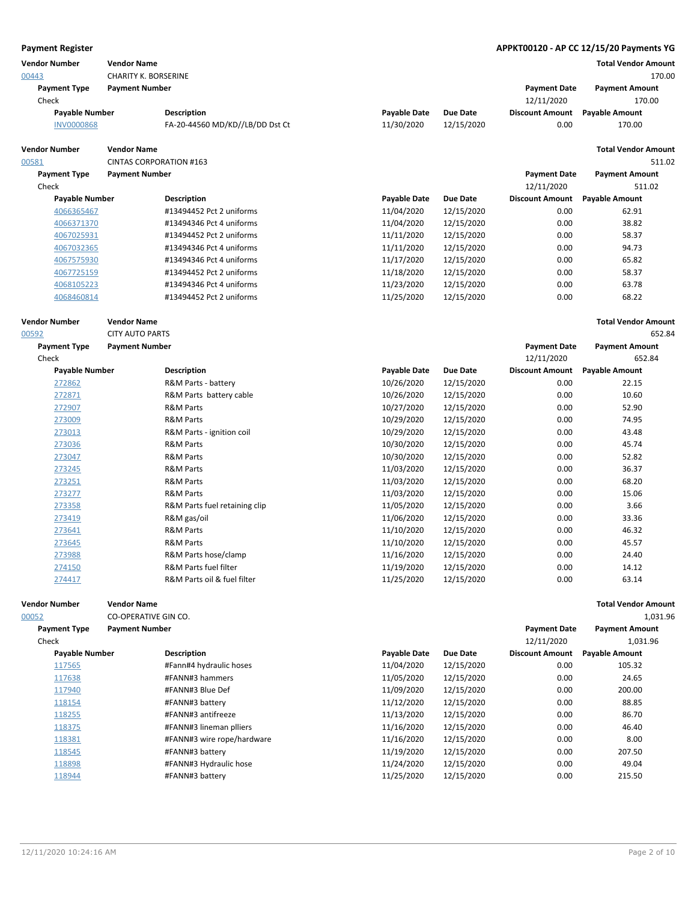| <b>Payment Register</b>       |                                                   |                                              |                          |                          |                                   | APPKT00120 - AP CC 12/15/20 Payments YG |
|-------------------------------|---------------------------------------------------|----------------------------------------------|--------------------------|--------------------------|-----------------------------------|-----------------------------------------|
| <b>Vendor Number</b><br>00443 | <b>Vendor Name</b><br><b>CHARITY K. BORSERINE</b> |                                              |                          |                          |                                   | <b>Total Vendor Amount</b><br>170.00    |
| <b>Payment Type</b>           | <b>Payment Number</b>                             |                                              |                          |                          | <b>Payment Date</b>               | <b>Payment Amount</b>                   |
| Check                         |                                                   |                                              |                          |                          | 12/11/2020                        | 170.00                                  |
| <b>Payable Number</b>         |                                                   | Description                                  | <b>Payable Date</b>      | <b>Due Date</b>          | <b>Discount Amount</b>            | <b>Payable Amount</b>                   |
| <b>INV0000868</b>             |                                                   | FA-20-44560 MD/KD//LB/DD Dst Ct              | 11/30/2020               | 12/15/2020               | 0.00                              | 170.00                                  |
| <b>Vendor Number</b>          | <b>Vendor Name</b>                                |                                              |                          |                          |                                   | <b>Total Vendor Amount</b>              |
| 00581                         | <b>CINTAS CORPORATION #163</b>                    |                                              |                          |                          |                                   | 511.02                                  |
| <b>Payment Type</b><br>Check  | <b>Payment Number</b>                             |                                              |                          |                          | <b>Payment Date</b><br>12/11/2020 | <b>Payment Amount</b><br>511.02         |
| <b>Payable Number</b>         |                                                   | <b>Description</b>                           | <b>Payable Date</b>      | <b>Due Date</b>          | <b>Discount Amount</b>            | <b>Payable Amount</b>                   |
| 4066365467                    |                                                   | #13494452 Pct 2 uniforms                     | 11/04/2020               | 12/15/2020               | 0.00                              | 62.91                                   |
| 4066371370                    |                                                   | #13494346 Pct 4 uniforms                     | 11/04/2020               | 12/15/2020               | 0.00                              | 38.82                                   |
| 4067025931                    |                                                   | #13494452 Pct 2 uniforms                     | 11/11/2020               | 12/15/2020               | 0.00                              | 58.37                                   |
| 4067032365                    |                                                   | #13494346 Pct 4 uniforms                     | 11/11/2020               | 12/15/2020               | 0.00                              | 94.73                                   |
| 4067575930                    |                                                   | #13494346 Pct 4 uniforms                     | 11/17/2020               | 12/15/2020               | 0.00                              | 65.82                                   |
| 4067725159                    |                                                   | #13494452 Pct 2 uniforms                     | 11/18/2020               | 12/15/2020               | 0.00                              | 58.37                                   |
| 4068105223                    |                                                   | #13494346 Pct 4 uniforms                     | 11/23/2020               | 12/15/2020               | 0.00                              | 63.78                                   |
| 4068460814                    |                                                   | #13494452 Pct 2 uniforms                     | 11/25/2020               | 12/15/2020               | 0.00                              | 68.22                                   |
| <b>Vendor Number</b>          | <b>Vendor Name</b>                                |                                              |                          |                          |                                   | <b>Total Vendor Amount</b>              |
| 00592                         | <b>CITY AUTO PARTS</b>                            |                                              |                          |                          |                                   | 652.84                                  |
| <b>Payment Type</b>           | <b>Payment Number</b>                             |                                              |                          |                          | <b>Payment Date</b>               | <b>Payment Amount</b>                   |
| Check                         |                                                   |                                              |                          |                          | 12/11/2020                        | 652.84                                  |
| <b>Payable Number</b>         |                                                   | Description                                  | <b>Payable Date</b>      | <b>Due Date</b>          | <b>Discount Amount</b>            | <b>Payable Amount</b>                   |
| 272862                        |                                                   | R&M Parts - battery                          | 10/26/2020               | 12/15/2020               | 0.00                              | 22.15                                   |
| 272871                        |                                                   | R&M Parts battery cable                      | 10/26/2020               | 12/15/2020               | 0.00                              | 10.60                                   |
| 272907                        |                                                   | <b>R&amp;M Parts</b>                         | 10/27/2020               | 12/15/2020               | 0.00                              | 52.90                                   |
| 273009                        |                                                   | <b>R&amp;M Parts</b>                         | 10/29/2020               | 12/15/2020               | 0.00                              | 74.95                                   |
| 273013                        |                                                   | R&M Parts - ignition coil                    | 10/29/2020               | 12/15/2020               | 0.00                              | 43.48<br>45.74                          |
| 273036                        |                                                   | <b>R&amp;M Parts</b><br><b>R&amp;M Parts</b> | 10/30/2020               | 12/15/2020               | 0.00<br>0.00                      | 52.82                                   |
| 273047                        |                                                   | <b>R&amp;M Parts</b>                         | 10/30/2020               | 12/15/2020               | 0.00                              | 36.37                                   |
| 273245                        |                                                   | <b>R&amp;M Parts</b>                         | 11/03/2020               | 12/15/2020               | 0.00                              | 68.20                                   |
| 273251                        |                                                   | R&M Parts                                    | 11/03/2020               | 12/15/2020<br>12/15/2020 |                                   | 15.06                                   |
| 273277                        |                                                   |                                              | 11/03/2020<br>11/05/2020 |                          | 0.00<br>0.00                      | 3.66                                    |
| 273358<br>273419              |                                                   | R&M Parts fuel retaining clip<br>R&M gas/oil | 11/06/2020               | 12/15/2020<br>12/15/2020 | 0.00                              | 33.36                                   |
| 273641                        |                                                   | <b>R&amp;M Parts</b>                         | 11/10/2020               | 12/15/2020               | 0.00                              | 46.32                                   |
| 273645                        |                                                   | <b>R&amp;M Parts</b>                         | 11/10/2020               | 12/15/2020               | 0.00                              | 45.57                                   |
| 273988                        |                                                   | R&M Parts hose/clamp                         | 11/16/2020               | 12/15/2020               | 0.00                              | 24.40                                   |
| 274150                        |                                                   | R&M Parts fuel filter                        | 11/19/2020               | 12/15/2020               | 0.00                              | 14.12                                   |
| 274417                        |                                                   | R&M Parts oil & fuel filter                  | 11/25/2020               | 12/15/2020               | 0.00                              | 63.14                                   |
| <b>Vendor Number</b>          | <b>Vendor Name</b>                                |                                              |                          |                          |                                   | <b>Total Vendor Amount</b>              |
| 00052                         | CO-OPERATIVE GIN CO.                              |                                              |                          |                          |                                   | 1,031.96                                |
| <b>Payment Type</b>           | <b>Payment Number</b>                             |                                              |                          |                          | <b>Payment Date</b>               | <b>Payment Amount</b>                   |
| Check                         |                                                   |                                              |                          |                          | 12/11/2020                        | 1,031.96                                |
| <b>Payable Number</b>         |                                                   | <b>Description</b>                           | <b>Payable Date</b>      | <b>Due Date</b>          | <b>Discount Amount</b>            | Payable Amount                          |
| 117565                        |                                                   | #Fann#4 hydraulic hoses                      | 11/04/2020               | 12/15/2020               | 0.00                              | 105.32                                  |
| 117638                        |                                                   | #FANN#3 hammers                              | 11/05/2020               | 12/15/2020               | 0.00                              | 24.65                                   |
| 117940                        |                                                   | #FANN#3 Blue Def                             | 11/09/2020               | 12/15/2020               | 0.00                              | 200.00                                  |
| 118154                        |                                                   | #FANN#3 battery                              | 11/12/2020               | 12/15/2020               | 0.00                              | 88.85                                   |
| 118255                        |                                                   | #FANN#3 antifreeze                           | 11/13/2020               | 12/15/2020               | 0.00                              | 86.70                                   |
| 118375                        |                                                   | #FANN#3 lineman plliers                      | 11/16/2020               | 12/15/2020               | 0.00                              | 46.40                                   |
| 118381                        |                                                   | #FANN#3 wire rope/hardware                   | 11/16/2020               | 12/15/2020               | 0.00                              | 8.00                                    |
| 118545                        |                                                   | #FANN#3 battery                              | 11/19/2020               | 12/15/2020               | 0.00                              | 207.50                                  |
| 118898                        |                                                   | #FANN#3 Hydraulic hose                       | 11/24/2020               | 12/15/2020               | 0.00                              | 49.04                                   |
| 118944                        |                                                   | #FANN#3 battery                              | 11/25/2020               | 12/15/2020               | 0.00                              | 215.50                                  |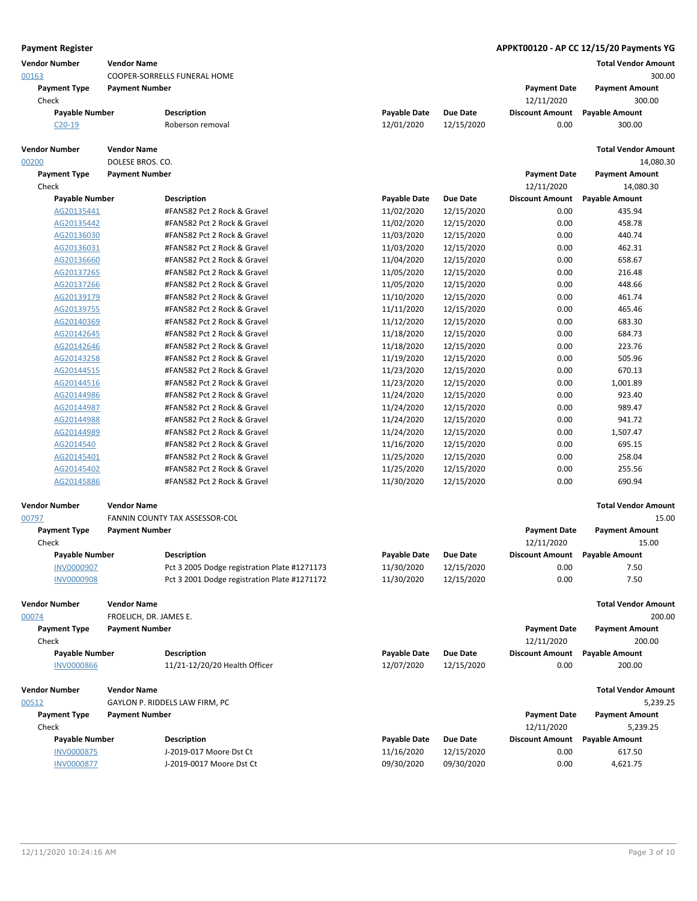| <b>Payment Register</b>       |                                              |                                              |                     |                 |                                   | APPKT00120 - AP CC 12/15/20 Payments YG |
|-------------------------------|----------------------------------------------|----------------------------------------------|---------------------|-----------------|-----------------------------------|-----------------------------------------|
| <b>Vendor Number</b><br>00163 | <b>Vendor Name</b>                           | COOPER-SORRELLS FUNERAL HOME                 |                     |                 |                                   | <b>Total Vendor Amount</b><br>300.00    |
| <b>Payment Type</b><br>Check  | <b>Payment Number</b>                        |                                              |                     |                 | <b>Payment Date</b><br>12/11/2020 | <b>Payment Amount</b><br>300.00         |
| <b>Payable Number</b>         |                                              | <b>Description</b>                           | <b>Payable Date</b> | <b>Due Date</b> | <b>Discount Amount</b>            | <b>Payable Amount</b>                   |
| $C20-19$                      |                                              | Roberson removal                             | 12/01/2020          | 12/15/2020      | 0.00                              | 300.00                                  |
| <b>Vendor Number</b>          | <b>Vendor Name</b>                           |                                              |                     |                 |                                   | <b>Total Vendor Amount</b>              |
| 00200<br><b>Payment Type</b>  | DOLESE BROS. CO.<br><b>Payment Number</b>    |                                              |                     |                 | <b>Payment Date</b>               | 14,080.30<br><b>Payment Amount</b>      |
| Check                         |                                              |                                              |                     |                 | 12/11/2020                        | 14,080.30                               |
| <b>Payable Number</b>         |                                              | <b>Description</b>                           | <b>Payable Date</b> | <b>Due Date</b> | <b>Discount Amount</b>            | <b>Payable Amount</b>                   |
| AG20135441                    |                                              | #FAN582 Pct 2 Rock & Gravel                  | 11/02/2020          | 12/15/2020      | 0.00                              | 435.94                                  |
| AG20135442                    |                                              | #FAN582 Pct 2 Rock & Gravel                  | 11/02/2020          | 12/15/2020      | 0.00                              | 458.78                                  |
| AG20136030                    |                                              | #FAN582 Pct 2 Rock & Gravel                  | 11/03/2020          | 12/15/2020      | 0.00                              | 440.74                                  |
| AG20136031                    |                                              | #FAN582 Pct 2 Rock & Gravel                  | 11/03/2020          | 12/15/2020      | 0.00                              | 462.31                                  |
| AG20136660                    |                                              | #FAN582 Pct 2 Rock & Gravel                  | 11/04/2020          | 12/15/2020      | 0.00                              | 658.67                                  |
| AG20137265                    |                                              | #FAN582 Pct 2 Rock & Gravel                  | 11/05/2020          | 12/15/2020      | 0.00                              | 216.48                                  |
| AG20137266                    |                                              | #FAN582 Pct 2 Rock & Gravel                  | 11/05/2020          | 12/15/2020      | 0.00                              | 448.66                                  |
| AG20139179                    |                                              | #FAN582 Pct 2 Rock & Gravel                  | 11/10/2020          | 12/15/2020      | 0.00                              | 461.74                                  |
| AG20139755                    |                                              | #FAN582 Pct 2 Rock & Gravel                  | 11/11/2020          | 12/15/2020      | 0.00                              | 465.46                                  |
| AG20140369                    |                                              | #FAN582 Pct 2 Rock & Gravel                  | 11/12/2020          | 12/15/2020      | 0.00                              | 683.30                                  |
| AG20142645                    |                                              | #FAN582 Pct 2 Rock & Gravel                  | 11/18/2020          | 12/15/2020      | 0.00                              | 684.73                                  |
| AG20142646                    |                                              | #FAN582 Pct 2 Rock & Gravel                  | 11/18/2020          | 12/15/2020      | 0.00                              | 223.76                                  |
| AG20143258                    |                                              | #FAN582 Pct 2 Rock & Gravel                  | 11/19/2020          | 12/15/2020      | 0.00                              | 505.96                                  |
| AG20144515                    |                                              | #FAN582 Pct 2 Rock & Gravel                  | 11/23/2020          | 12/15/2020      | 0.00                              | 670.13                                  |
| AG20144516                    |                                              | #FAN582 Pct 2 Rock & Gravel                  | 11/23/2020          | 12/15/2020      | 0.00                              | 1,001.89                                |
| AG20144986                    |                                              | #FAN582 Pct 2 Rock & Gravel                  | 11/24/2020          | 12/15/2020      | 0.00                              | 923.40                                  |
| AG20144987                    |                                              | #FAN582 Pct 2 Rock & Gravel                  | 11/24/2020          | 12/15/2020      | 0.00                              | 989.47                                  |
| AG20144988                    |                                              | #FAN582 Pct 2 Rock & Gravel                  | 11/24/2020          | 12/15/2020      | 0.00                              | 941.72                                  |
| AG20144989                    |                                              | #FAN582 Pct 2 Rock & Gravel                  | 11/24/2020          | 12/15/2020      | 0.00                              | 1,507.47                                |
| AG2014540                     |                                              | #FAN582 Pct 2 Rock & Gravel                  | 11/16/2020          | 12/15/2020      | 0.00                              | 695.15                                  |
| AG20145401                    |                                              | #FAN582 Pct 2 Rock & Gravel                  | 11/25/2020          | 12/15/2020      | 0.00                              | 258.04                                  |
| AG20145402                    |                                              | #FAN582 Pct 2 Rock & Gravel                  | 11/25/2020          | 12/15/2020      | 0.00                              | 255.56                                  |
| AG20145886                    |                                              | #FAN582 Pct 2 Rock & Gravel                  | 11/30/2020          | 12/15/2020      | 0.00                              | 690.94                                  |
| <b>Vendor Number</b>          | <b>Vendor Name</b>                           |                                              |                     |                 |                                   | <b>Total Vendor Amount</b>              |
| 00797                         |                                              | FANNIN COUNTY TAX ASSESSOR-COL               |                     |                 |                                   | 15.00                                   |
| <b>Payment Type</b>           | <b>Payment Number</b>                        |                                              |                     |                 | <b>Payment Date</b>               | <b>Payment Amount</b>                   |
| Check                         |                                              |                                              |                     |                 | 12/11/2020                        | 15.00                                   |
| <b>Payable Number</b>         |                                              | <b>Description</b>                           | <b>Payable Date</b> | Due Date        | <b>Discount Amount</b>            | <b>Payable Amount</b>                   |
| <b>INV0000907</b>             |                                              | Pct 3 2005 Dodge registration Plate #1271173 | 11/30/2020          | 12/15/2020      | 0.00                              | 7.50                                    |
| <b>INV0000908</b>             |                                              | Pct 3 2001 Dodge registration Plate #1271172 | 11/30/2020          | 12/15/2020      | 0.00                              | 7.50                                    |
| <b>Vendor Number</b><br>00074 | <b>Vendor Name</b><br>FROELICH, DR. JAMES E. |                                              |                     |                 |                                   | <b>Total Vendor Amount</b><br>200.00    |
|                               |                                              |                                              |                     |                 |                                   | <b>Payment Amount</b>                   |
| <b>Payment Type</b><br>Check  | <b>Payment Number</b>                        |                                              |                     |                 | <b>Payment Date</b><br>12/11/2020 | 200.00                                  |
| <b>Payable Number</b>         |                                              | <b>Description</b>                           | <b>Payable Date</b> | <b>Due Date</b> | <b>Discount Amount</b>            |                                         |
| <b>INV0000866</b>             |                                              | 11/21-12/20/20 Health Officer                | 12/07/2020          | 12/15/2020      | 0.00                              | <b>Payable Amount</b><br>200.00         |
| <b>Vendor Number</b>          | <b>Vendor Name</b>                           |                                              |                     |                 |                                   | <b>Total Vendor Amount</b>              |
| 00512                         |                                              | GAYLON P. RIDDELS LAW FIRM, PC               |                     |                 |                                   | 5,239.25                                |
| <b>Payment Type</b>           | <b>Payment Number</b>                        |                                              |                     |                 | <b>Payment Date</b>               | <b>Payment Amount</b>                   |
| Check                         |                                              |                                              |                     |                 | 12/11/2020                        | 5,239.25                                |
| <b>Payable Number</b>         |                                              | <b>Description</b>                           | <b>Payable Date</b> | <b>Due Date</b> | <b>Discount Amount</b>            | <b>Payable Amount</b>                   |
| <b>INV0000875</b>             |                                              | J-2019-017 Moore Dst Ct                      | 11/16/2020          | 12/15/2020      | 0.00                              | 617.50                                  |
| <b>INV0000877</b>             |                                              | J-2019-0017 Moore Dst Ct                     | 09/30/2020          | 09/30/2020      | 0.00                              | 4,621.75                                |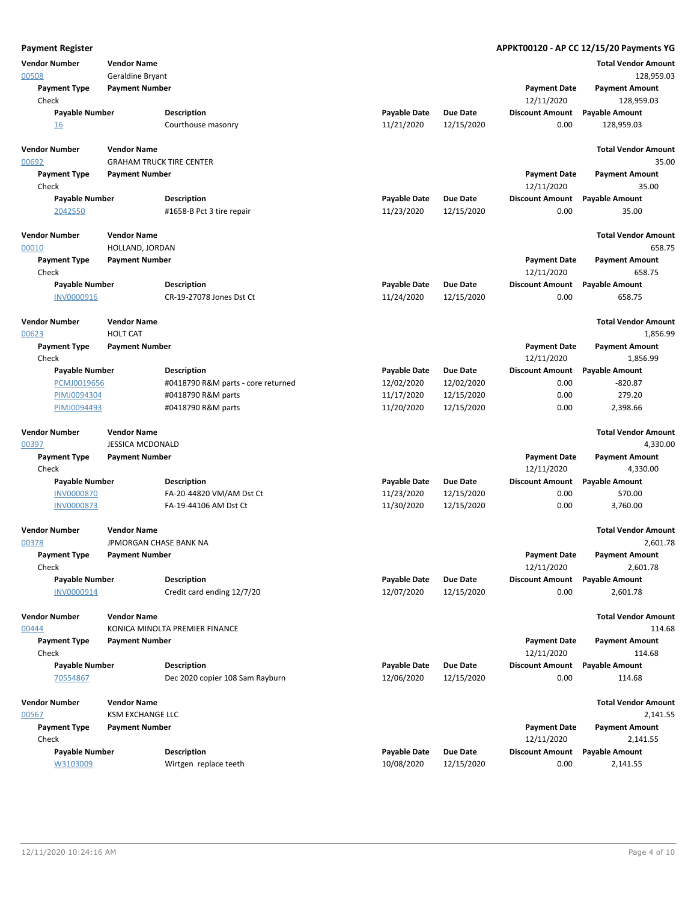| <b>Payment Register</b>       |                                       |                                    |                     |                 |                                   | APPKT00120 - AP CC 12/15/20 Payments YG |
|-------------------------------|---------------------------------------|------------------------------------|---------------------|-----------------|-----------------------------------|-----------------------------------------|
| <b>Vendor Number</b>          | <b>Vendor Name</b>                    |                                    |                     |                 |                                   | <b>Total Vendor Amount</b>              |
| 00508                         | Geraldine Bryant                      |                                    |                     |                 |                                   | 128,959.03                              |
| <b>Payment Type</b>           | <b>Payment Number</b>                 |                                    |                     |                 | <b>Payment Date</b>               | <b>Payment Amount</b>                   |
| Check                         |                                       |                                    |                     |                 | 12/11/2020                        | 128,959.03                              |
| <b>Payable Number</b>         |                                       | <b>Description</b>                 | <b>Payable Date</b> | <b>Due Date</b> | <b>Discount Amount</b>            | <b>Payable Amount</b>                   |
| <u>16</u>                     |                                       | Courthouse masonry                 | 11/21/2020          | 12/15/2020      | 0.00                              | 128,959.03                              |
| <b>Vendor Number</b>          | <b>Vendor Name</b>                    |                                    |                     |                 |                                   | <b>Total Vendor Amount</b>              |
| 00692                         |                                       | <b>GRAHAM TRUCK TIRE CENTER</b>    |                     |                 |                                   | 35.00                                   |
| <b>Payment Type</b>           | <b>Payment Number</b>                 |                                    |                     |                 | <b>Payment Date</b>               | <b>Payment Amount</b>                   |
| Check                         |                                       |                                    |                     |                 | 12/11/2020                        | 35.00                                   |
| Payable Number                |                                       | <b>Description</b>                 | <b>Payable Date</b> | <b>Due Date</b> | <b>Discount Amount</b>            | <b>Payable Amount</b>                   |
| 2042550                       |                                       | #1658-B Pct 3 tire repair          | 11/23/2020          | 12/15/2020      | 0.00                              | 35.00                                   |
| <b>Vendor Number</b>          | <b>Vendor Name</b>                    |                                    |                     |                 |                                   | <b>Total Vendor Amount</b>              |
| 00010                         | HOLLAND, JORDAN                       |                                    |                     |                 |                                   | 658.75                                  |
| <b>Payment Type</b><br>Check  | <b>Payment Number</b>                 |                                    |                     |                 | <b>Payment Date</b><br>12/11/2020 | <b>Payment Amount</b><br>658.75         |
| <b>Payable Number</b>         |                                       | <b>Description</b>                 | <b>Payable Date</b> | <b>Due Date</b> | <b>Discount Amount</b>            | <b>Payable Amount</b>                   |
| INV0000916                    |                                       | CR-19-27078 Jones Dst Ct           | 11/24/2020          | 12/15/2020      | 0.00                              | 658.75                                  |
| <b>Vendor Number</b><br>00623 | <b>Vendor Name</b><br><b>HOLT CAT</b> |                                    |                     |                 |                                   | <b>Total Vendor Amount</b><br>1,856.99  |
| <b>Payment Type</b>           | <b>Payment Number</b>                 |                                    |                     |                 | <b>Payment Date</b>               | <b>Payment Amount</b>                   |
| Check                         |                                       |                                    |                     |                 | 12/11/2020                        | 1,856.99                                |
| <b>Payable Number</b>         |                                       | <b>Description</b>                 | <b>Payable Date</b> | <b>Due Date</b> | <b>Discount Amount</b>            | <b>Payable Amount</b>                   |
| PCMJ0019656                   |                                       | #0418790 R&M parts - core returned | 12/02/2020          | 12/02/2020      | 0.00                              | $-820.87$                               |
| PIMJ0094304                   |                                       | #0418790 R&M parts                 | 11/17/2020          | 12/15/2020      | 0.00                              | 279.20                                  |
| PIMJ0094493                   |                                       | #0418790 R&M parts                 | 11/20/2020          | 12/15/2020      | 0.00                              | 2,398.66                                |
| <b>Vendor Number</b>          | <b>Vendor Name</b>                    |                                    |                     |                 |                                   | <b>Total Vendor Amount</b>              |
| 00397                         | <b>JESSICA MCDONALD</b>               |                                    |                     |                 |                                   | 4,330.00                                |
| <b>Payment Type</b><br>Check  | <b>Payment Number</b>                 |                                    |                     |                 | <b>Payment Date</b><br>12/11/2020 | <b>Payment Amount</b><br>4,330.00       |
| <b>Payable Number</b>         |                                       | <b>Description</b>                 | Payable Date        | Due Date        | <b>Discount Amount</b>            | <b>Payable Amount</b>                   |
| <b>INV0000870</b>             |                                       | FA-20-44820 VM/AM Dst Ct           | 11/23/2020          | 12/15/2020      | 0.00                              | 570.00                                  |
| <b>INV0000873</b>             |                                       | FA-19-44106 AM Dst Ct              | 11/30/2020          | 12/15/2020      | 0.00                              | 3,760.00                                |
| <b>Vendor Number</b><br>00378 | <b>Vendor Name</b>                    | JPMORGAN CHASE BANK NA             |                     |                 |                                   | <b>Total Vendor Amount</b><br>2,601.78  |
| <b>Payment Type</b>           | <b>Payment Number</b>                 |                                    |                     |                 | <b>Payment Date</b>               | <b>Payment Amount</b>                   |
| Check                         |                                       |                                    |                     |                 | 12/11/2020                        | 2,601.78                                |
| <b>Payable Number</b>         |                                       | <b>Description</b>                 | <b>Payable Date</b> | Due Date        | <b>Discount Amount</b>            | <b>Payable Amount</b>                   |
| INV0000914                    |                                       | Credit card ending 12/7/20         | 12/07/2020          | 12/15/2020      | 0.00                              | 2,601.78                                |
| <b>Vendor Number</b>          | <b>Vendor Name</b>                    |                                    |                     |                 |                                   | <b>Total Vendor Amount</b>              |
| 00444                         |                                       | KONICA MINOLTA PREMIER FINANCE     |                     |                 |                                   | 114.68                                  |
| <b>Payment Type</b>           | <b>Payment Number</b>                 |                                    |                     |                 | <b>Payment Date</b>               | <b>Payment Amount</b>                   |
| Check                         |                                       |                                    |                     |                 | 12/11/2020                        | 114.68                                  |
| <b>Payable Number</b>         |                                       | <b>Description</b>                 | <b>Payable Date</b> | <b>Due Date</b> | <b>Discount Amount</b>            | <b>Payable Amount</b>                   |
| 70554867                      |                                       | Dec 2020 copier 108 Sam Rayburn    | 12/06/2020          | 12/15/2020      | 0.00                              | 114.68                                  |
| <b>Vendor Number</b>          | <b>Vendor Name</b>                    |                                    |                     |                 |                                   | <b>Total Vendor Amount</b>              |
| 00567                         | <b>KSM EXCHANGE LLC</b>               |                                    |                     |                 |                                   | 2,141.55                                |
| <b>Payment Type</b><br>Check  | <b>Payment Number</b>                 |                                    |                     |                 | <b>Payment Date</b><br>12/11/2020 | <b>Payment Amount</b><br>2,141.55       |
| Payable Number                |                                       | <b>Description</b>                 | <b>Payable Date</b> | Due Date        | <b>Discount Amount</b>            | <b>Payable Amount</b>                   |
| W3103009                      |                                       | Wirtgen replace teeth              | 10/08/2020          | 12/15/2020      | 0.00                              | 2,141.55                                |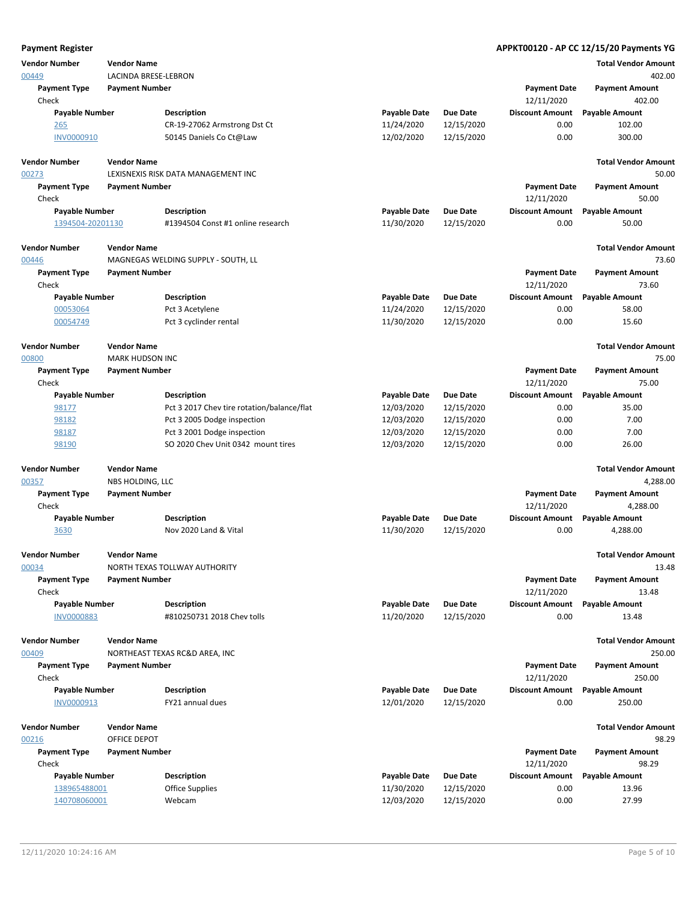| <b>Payment Register</b> |                        |                                            |                     |                 |                        | APPKT00120 - AP CC 12/15/20 Payments YG |
|-------------------------|------------------------|--------------------------------------------|---------------------|-----------------|------------------------|-----------------------------------------|
| <b>Vendor Number</b>    | <b>Vendor Name</b>     |                                            |                     |                 |                        | <b>Total Vendor Amount</b>              |
| 00449                   | LACINDA BRESE-LEBRON   |                                            |                     |                 |                        | 402.00                                  |
| <b>Payment Type</b>     | <b>Payment Number</b>  |                                            |                     |                 | <b>Payment Date</b>    | <b>Payment Amount</b>                   |
| Check                   |                        |                                            |                     |                 | 12/11/2020             | 402.00                                  |
| <b>Payable Number</b>   |                        | <b>Description</b>                         | <b>Payable Date</b> | <b>Due Date</b> | <b>Discount Amount</b> | <b>Payable Amount</b>                   |
| 265                     |                        | CR-19-27062 Armstrong Dst Ct               | 11/24/2020          | 12/15/2020      | 0.00                   | 102.00                                  |
| <b>INV0000910</b>       |                        | 50145 Daniels Co Ct@Law                    | 12/02/2020          | 12/15/2020      | 0.00                   | 300.00                                  |
|                         |                        |                                            |                     |                 |                        |                                         |
| <b>Vendor Number</b>    | <b>Vendor Name</b>     |                                            |                     |                 |                        | <b>Total Vendor Amount</b>              |
| 00273                   |                        | LEXISNEXIS RISK DATA MANAGEMENT INC        |                     |                 |                        | 50.00                                   |
| <b>Payment Type</b>     | <b>Payment Number</b>  |                                            |                     |                 | <b>Payment Date</b>    | <b>Payment Amount</b>                   |
| Check                   |                        |                                            |                     |                 | 12/11/2020             | 50.00                                   |
|                         |                        |                                            |                     | <b>Due Date</b> |                        |                                         |
| <b>Payable Number</b>   |                        | <b>Description</b>                         | <b>Payable Date</b> |                 | <b>Discount Amount</b> | <b>Payable Amount</b>                   |
| 1394504-20201130        |                        | #1394504 Const #1 online research          | 11/30/2020          | 12/15/2020      | 0.00                   | 50.00                                   |
|                         |                        |                                            |                     |                 |                        |                                         |
| <b>Vendor Number</b>    | <b>Vendor Name</b>     |                                            |                     |                 |                        | <b>Total Vendor Amount</b>              |
| 00446                   |                        | MAGNEGAS WELDING SUPPLY - SOUTH, LL        |                     |                 |                        | 73.60                                   |
| <b>Payment Type</b>     | <b>Payment Number</b>  |                                            |                     |                 | <b>Payment Date</b>    | <b>Payment Amount</b>                   |
| Check                   |                        |                                            |                     |                 | 12/11/2020             | 73.60                                   |
| Payable Number          |                        | <b>Description</b>                         | <b>Payable Date</b> | <b>Due Date</b> | <b>Discount Amount</b> | <b>Payable Amount</b>                   |
| 00053064                |                        | Pct 3 Acetylene                            | 11/24/2020          | 12/15/2020      | 0.00                   | 58.00                                   |
| 00054749                |                        | Pct 3 cyclinder rental                     | 11/30/2020          | 12/15/2020      | 0.00                   | 15.60                                   |
|                         |                        |                                            |                     |                 |                        |                                         |
| <b>Vendor Number</b>    | <b>Vendor Name</b>     |                                            |                     |                 |                        | <b>Total Vendor Amount</b>              |
| 00800                   | <b>MARK HUDSON INC</b> |                                            |                     |                 |                        | 75.00                                   |
| <b>Payment Type</b>     | <b>Payment Number</b>  |                                            |                     |                 | <b>Payment Date</b>    | <b>Payment Amount</b>                   |
| Check                   |                        |                                            |                     |                 | 12/11/2020             | 75.00                                   |
| <b>Payable Number</b>   |                        | <b>Description</b>                         | <b>Payable Date</b> | <b>Due Date</b> | <b>Discount Amount</b> | <b>Payable Amount</b>                   |
| 98177                   |                        | Pct 3 2017 Chev tire rotation/balance/flat | 12/03/2020          | 12/15/2020      | 0.00                   | 35.00                                   |
| 98182                   |                        | Pct 3 2005 Dodge inspection                | 12/03/2020          | 12/15/2020      | 0.00                   | 7.00                                    |
| 98187                   |                        | Pct 3 2001 Dodge inspection                | 12/03/2020          | 12/15/2020      | 0.00                   | 7.00                                    |
| 98190                   |                        | SO 2020 Chev Unit 0342 mount tires         | 12/03/2020          | 12/15/2020      | 0.00                   | 26.00                                   |
|                         |                        |                                            |                     |                 |                        |                                         |
| <b>Vendor Number</b>    | <b>Vendor Name</b>     |                                            |                     |                 |                        | <b>Total Vendor Amount</b>              |
| 00357                   | NBS HOLDING, LLC       |                                            |                     |                 |                        | 4,288.00                                |
| <b>Payment Type</b>     | <b>Payment Number</b>  |                                            |                     |                 | <b>Payment Date</b>    | <b>Payment Amount</b>                   |
| Check                   |                        |                                            |                     |                 | 12/11/2020             | 4,288.00                                |
| <b>Payable Number</b>   |                        | <b>Description</b>                         | <b>Payable Date</b> | <b>Due Date</b> | <b>Discount Amount</b> | <b>Payable Amount</b>                   |
| 3630                    |                        | Nov 2020 Land & Vital                      | 11/30/2020          | 12/15/2020      | 0.00                   | 4,288.00                                |
|                         |                        |                                            |                     |                 |                        |                                         |
| <b>Vendor Number</b>    | <b>Vendor Name</b>     |                                            |                     |                 |                        | <b>Total Vendor Amount</b>              |
| 00034                   |                        | NORTH TEXAS TOLLWAY AUTHORITY              |                     |                 |                        | 13.48                                   |
| <b>Payment Type</b>     | <b>Payment Number</b>  |                                            |                     |                 | <b>Payment Date</b>    | <b>Payment Amount</b>                   |
| Check                   |                        |                                            |                     |                 | 12/11/2020             | 13.48                                   |
| Payable Number          |                        | <b>Description</b>                         | <b>Payable Date</b> | <b>Due Date</b> | <b>Discount Amount</b> | <b>Payable Amount</b>                   |
| <b>INV0000883</b>       |                        | #810250731 2018 Chev tolls                 | 11/20/2020          | 12/15/2020      | 0.00                   | 13.48                                   |
|                         |                        |                                            |                     |                 |                        |                                         |
| <b>Vendor Number</b>    | <b>Vendor Name</b>     |                                            |                     |                 |                        | <b>Total Vendor Amount</b>              |
| 00409                   |                        | NORTHEAST TEXAS RC&D AREA, INC             |                     |                 |                        | 250.00                                  |
| <b>Payment Type</b>     | <b>Payment Number</b>  |                                            |                     |                 | <b>Payment Date</b>    | <b>Payment Amount</b>                   |
| Check                   |                        |                                            |                     |                 | 12/11/2020             | 250.00                                  |
|                         |                        | <b>Description</b>                         |                     |                 |                        |                                         |
| <b>Payable Number</b>   |                        |                                            | <b>Payable Date</b> | Due Date        | <b>Discount Amount</b> | <b>Payable Amount</b>                   |
| INV0000913              |                        | FY21 annual dues                           | 12/01/2020          | 12/15/2020      | 0.00                   | 250.00                                  |
|                         |                        |                                            |                     |                 |                        |                                         |
| <b>Vendor Number</b>    | <b>Vendor Name</b>     |                                            |                     |                 |                        | <b>Total Vendor Amount</b>              |
| 00216                   | OFFICE DEPOT           |                                            |                     |                 |                        | 98.29                                   |
| <b>Payment Type</b>     | <b>Payment Number</b>  |                                            |                     |                 | <b>Payment Date</b>    | <b>Payment Amount</b>                   |
| Check                   |                        |                                            |                     |                 | 12/11/2020             | 98.29                                   |
| <b>Payable Number</b>   |                        | Description                                | <b>Payable Date</b> | <b>Due Date</b> | <b>Discount Amount</b> | <b>Payable Amount</b>                   |
| 138965488001            |                        | Office Supplies                            | 11/30/2020          | 12/15/2020      | 0.00                   | 13.96                                   |
| 140708060001            |                        | Webcam                                     | 12/03/2020          | 12/15/2020      | 0.00                   | 27.99                                   |
|                         |                        |                                            |                     |                 |                        |                                         |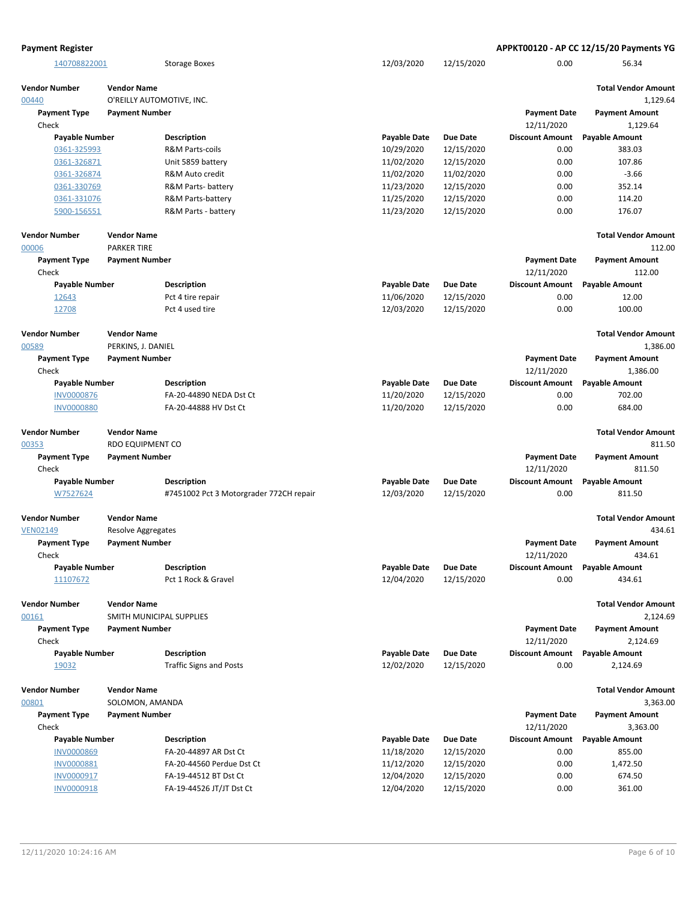| <b>Payment Register</b>       |                                       |                                         |                                   |                               |                                      | APPKT00120 - AP CC 12/15/20 Payments YG |
|-------------------------------|---------------------------------------|-----------------------------------------|-----------------------------------|-------------------------------|--------------------------------------|-----------------------------------------|
| 140708822001                  |                                       | <b>Storage Boxes</b>                    | 12/03/2020                        | 12/15/2020                    | 0.00                                 | 56.34                                   |
| <b>Vendor Number</b><br>00440 | <b>Vendor Name</b>                    | O'REILLY AUTOMOTIVE, INC.               |                                   |                               |                                      | <b>Total Vendor Amount</b><br>1.129.64  |
| <b>Payment Type</b>           | <b>Payment Number</b>                 |                                         |                                   |                               | <b>Payment Date</b>                  | <b>Payment Amount</b>                   |
| Check                         |                                       |                                         |                                   |                               | 12/11/2020                           | 1,129.64                                |
| Payable Number                |                                       | <b>Description</b>                      | <b>Payable Date</b>               | <b>Due Date</b>               | <b>Discount Amount</b>               | <b>Payable Amount</b>                   |
| 0361-325993                   |                                       | R&M Parts-coils                         | 10/29/2020                        | 12/15/2020                    | 0.00                                 | 383.03                                  |
| 0361-326871                   |                                       | Unit 5859 battery                       | 11/02/2020                        | 12/15/2020                    | 0.00                                 | 107.86                                  |
| 0361-326874                   |                                       | R&M Auto credit                         | 11/02/2020                        | 11/02/2020                    | 0.00                                 | $-3.66$                                 |
| 0361-330769                   |                                       | R&M Parts- battery                      | 11/23/2020                        | 12/15/2020                    | 0.00                                 | 352.14                                  |
| 0361-331076                   |                                       | R&M Parts-battery                       | 11/25/2020                        | 12/15/2020                    | 0.00                                 | 114.20                                  |
| 5900-156551                   |                                       | R&M Parts - battery                     | 11/23/2020                        | 12/15/2020                    | 0.00                                 | 176.07                                  |
| <b>Vendor Number</b>          | <b>Vendor Name</b>                    |                                         |                                   |                               |                                      | <b>Total Vendor Amount</b>              |
| 00006                         | <b>PARKER TIRE</b>                    |                                         |                                   |                               |                                      | 112.00                                  |
| <b>Payment Type</b>           | <b>Payment Number</b>                 |                                         |                                   |                               | <b>Payment Date</b>                  | <b>Payment Amount</b>                   |
| Check                         |                                       |                                         |                                   |                               | 12/11/2020                           | 112.00                                  |
| <b>Payable Number</b>         |                                       | Description                             | <b>Payable Date</b>               | <b>Due Date</b>               | <b>Discount Amount</b>               | <b>Payable Amount</b>                   |
| 12643                         |                                       | Pct 4 tire repair                       | 11/06/2020                        | 12/15/2020                    | 0.00                                 | 12.00                                   |
| 12708                         |                                       | Pct 4 used tire                         | 12/03/2020                        | 12/15/2020                    | 0.00                                 | 100.00                                  |
| <b>Vendor Number</b>          | <b>Vendor Name</b>                    |                                         |                                   |                               |                                      | <b>Total Vendor Amount</b>              |
| 00589                         | PERKINS, J. DANIEL                    |                                         |                                   |                               |                                      | 1,386.00                                |
| <b>Payment Type</b><br>Check  | <b>Payment Number</b>                 |                                         |                                   |                               | <b>Payment Date</b><br>12/11/2020    | <b>Payment Amount</b><br>1,386.00       |
| <b>Payable Number</b>         |                                       | <b>Description</b>                      | <b>Payable Date</b>               | <b>Due Date</b>               | <b>Discount Amount</b>               | <b>Payable Amount</b>                   |
| INV0000876                    |                                       | FA-20-44890 NEDA Dst Ct                 | 11/20/2020                        | 12/15/2020                    | 0.00                                 | 702.00                                  |
| <b>INV0000880</b>             |                                       | FA-20-44888 HV Dst Ct                   | 11/20/2020                        | 12/15/2020                    | 0.00                                 | 684.00                                  |
| <b>Vendor Number</b>          | <b>Vendor Name</b>                    |                                         |                                   |                               |                                      | <b>Total Vendor Amount</b>              |
| 00353                         | RDO EQUIPMENT CO                      |                                         |                                   |                               |                                      | 811.50                                  |
| <b>Payment Type</b><br>Check  | <b>Payment Number</b>                 |                                         |                                   |                               | <b>Payment Date</b><br>12/11/2020    | <b>Payment Amount</b><br>811.50         |
| <b>Payable Number</b>         |                                       | Description                             | <b>Payable Date</b>               | <b>Due Date</b>               | <b>Discount Amount</b>               | <b>Payable Amount</b>                   |
| W7527624                      |                                       | #7451002 Pct 3 Motorgrader 772CH repair | 12/03/2020                        | 12/15/2020                    | 0.00                                 | 811.50                                  |
| <b>Vendor Number</b>          | <b>Vendor Name</b>                    |                                         |                                   |                               |                                      | <b>Total Vendor Amount</b>              |
| <b>VEN02149</b>               | Resolve Aggregates                    |                                         |                                   |                               |                                      | 434.61                                  |
| <b>Payment Type</b>           | <b>Payment Number</b>                 |                                         |                                   |                               | <b>Payment Date</b>                  | <b>Payment Amount</b>                   |
| Check                         |                                       |                                         |                                   |                               | 12/11/2020                           | 434.61                                  |
| Payable Number                |                                       | <b>Description</b>                      | <b>Payable Date</b>               | <b>Due Date</b>               | <b>Discount Amount</b>               | <b>Payable Amount</b>                   |
| 11107672                      |                                       | Pct 1 Rock & Gravel                     | 12/04/2020                        | 12/15/2020                    | 0.00                                 | 434.61                                  |
| <b>Vendor Number</b>          | <b>Vendor Name</b>                    |                                         |                                   |                               |                                      | <b>Total Vendor Amount</b>              |
| 00161                         |                                       | SMITH MUNICIPAL SUPPLIES                |                                   |                               |                                      | 2,124.69                                |
| <b>Payment Type</b>           | <b>Payment Number</b>                 |                                         |                                   |                               | <b>Payment Date</b>                  | <b>Payment Amount</b>                   |
| Check                         |                                       | <b>Description</b>                      |                                   |                               | 12/11/2020<br><b>Discount Amount</b> | 2,124.69                                |
| <b>Payable Number</b>         |                                       |                                         | <b>Payable Date</b><br>12/02/2020 | <b>Due Date</b><br>12/15/2020 |                                      | <b>Payable Amount</b>                   |
| 19032                         |                                       | <b>Traffic Signs and Posts</b>          |                                   |                               | 0.00                                 | 2,124.69                                |
| <b>Vendor Number</b><br>00801 | <b>Vendor Name</b><br>SOLOMON, AMANDA |                                         |                                   |                               |                                      | <b>Total Vendor Amount</b><br>3,363.00  |
| <b>Payment Type</b>           | <b>Payment Number</b>                 |                                         |                                   |                               | <b>Payment Date</b>                  | <b>Payment Amount</b>                   |
| Check                         |                                       |                                         |                                   |                               | 12/11/2020                           | 3,363.00                                |
| <b>Payable Number</b>         |                                       | Description                             | <b>Payable Date</b>               | <b>Due Date</b>               | <b>Discount Amount</b>               | <b>Payable Amount</b>                   |
| INV0000869                    |                                       | FA-20-44897 AR Dst Ct                   | 11/18/2020                        | 12/15/2020                    | 0.00                                 | 855.00                                  |
| <b>INV0000881</b>             |                                       | FA-20-44560 Perdue Dst Ct               | 11/12/2020                        | 12/15/2020                    | 0.00                                 | 1,472.50                                |
| INV0000917                    |                                       | FA-19-44512 BT Dst Ct                   | 12/04/2020                        | 12/15/2020                    | 0.00                                 | 674.50                                  |
| INV0000918                    |                                       | FA-19-44526 JT/JT Dst Ct                | 12/04/2020                        | 12/15/2020                    | 0.00                                 | 361.00                                  |
|                               |                                       |                                         |                                   |                               |                                      |                                         |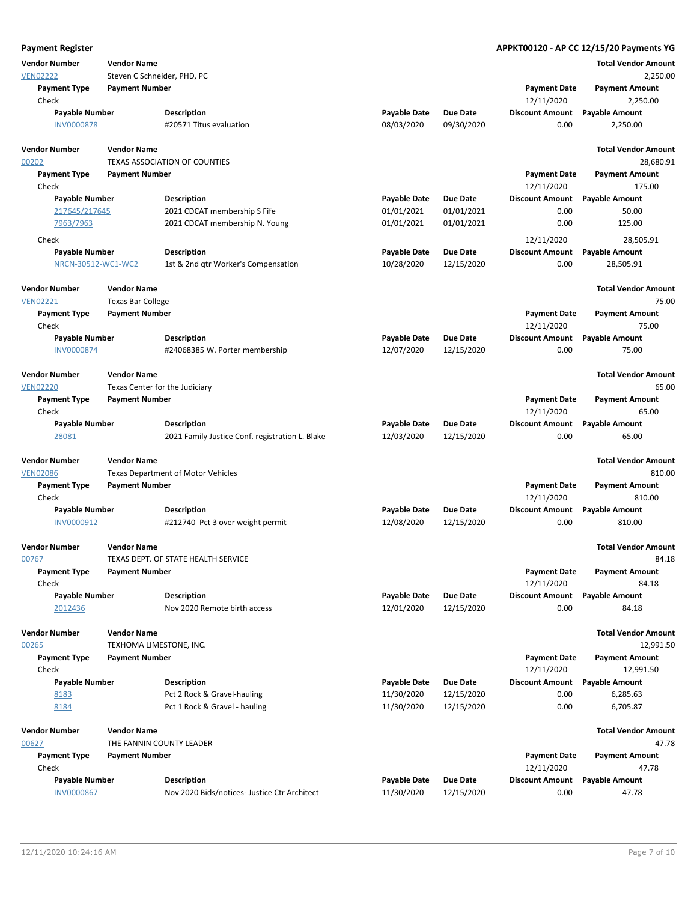| <b>Payment Register</b> |                             |                                                 |                     |                 |                        | APPKT00120 - AP CC 12/15/20 Payments YG |
|-------------------------|-----------------------------|-------------------------------------------------|---------------------|-----------------|------------------------|-----------------------------------------|
| <b>Vendor Number</b>    | <b>Vendor Name</b>          |                                                 |                     |                 |                        | <b>Total Vendor Amount</b>              |
| <b>VEN02222</b>         | Steven C Schneider, PHD, PC |                                                 |                     |                 |                        | 2,250.00                                |
| <b>Payment Type</b>     | <b>Payment Number</b>       |                                                 |                     |                 | <b>Payment Date</b>    | <b>Payment Amount</b>                   |
| Check                   |                             |                                                 |                     |                 | 12/11/2020             | 2,250.00                                |
| <b>Payable Number</b>   |                             | <b>Description</b>                              | <b>Payable Date</b> | <b>Due Date</b> | <b>Discount Amount</b> | <b>Payable Amount</b>                   |
| <b>INV0000878</b>       |                             | #20571 Titus evaluation                         | 08/03/2020          | 09/30/2020      | 0.00                   | 2,250.00                                |
| <b>Vendor Number</b>    | <b>Vendor Name</b>          |                                                 |                     |                 |                        | <b>Total Vendor Amount</b>              |
| 00202                   |                             | <b>TEXAS ASSOCIATION OF COUNTIES</b>            |                     |                 |                        | 28,680.91                               |
| <b>Payment Type</b>     | <b>Payment Number</b>       |                                                 |                     |                 | <b>Payment Date</b>    | <b>Payment Amount</b>                   |
| Check                   |                             |                                                 |                     |                 | 12/11/2020             | 175.00                                  |
| <b>Payable Number</b>   |                             | <b>Description</b>                              | <b>Payable Date</b> | <b>Due Date</b> | <b>Discount Amount</b> | <b>Payable Amount</b>                   |
| 217645/217645           |                             | 2021 CDCAT membership S Fife                    | 01/01/2021          | 01/01/2021      | 0.00                   | 50.00                                   |
| 7963/7963               |                             | 2021 CDCAT membership N. Young                  | 01/01/2021          | 01/01/2021      | 0.00                   | 125.00                                  |
| Check                   |                             |                                                 |                     |                 | 12/11/2020             | 28,505.91                               |
| <b>Payable Number</b>   |                             | <b>Description</b>                              | <b>Payable Date</b> | <b>Due Date</b> | <b>Discount Amount</b> | <b>Payable Amount</b>                   |
| NRCN-30512-WC1-WC2      |                             | 1st & 2nd qtr Worker's Compensation             | 10/28/2020          | 12/15/2020      | 0.00                   | 28,505.91                               |
| <b>Vendor Number</b>    | <b>Vendor Name</b>          |                                                 |                     |                 |                        | <b>Total Vendor Amount</b>              |
| <b>VEN02221</b>         | <b>Texas Bar College</b>    |                                                 |                     |                 |                        | 75.00                                   |
| <b>Payment Type</b>     | <b>Payment Number</b>       |                                                 |                     |                 | <b>Payment Date</b>    | <b>Payment Amount</b>                   |
| Check                   |                             |                                                 |                     |                 | 12/11/2020             | 75.00                                   |
| <b>Payable Number</b>   |                             | <b>Description</b>                              | <b>Payable Date</b> | <b>Due Date</b> | <b>Discount Amount</b> | <b>Payable Amount</b>                   |
| <b>INV0000874</b>       |                             | #24068385 W. Porter membership                  | 12/07/2020          | 12/15/2020      | 0.00                   | 75.00                                   |
| <b>Vendor Number</b>    | <b>Vendor Name</b>          |                                                 |                     |                 |                        | <b>Total Vendor Amount</b>              |
| <b>VEN02220</b>         |                             | Texas Center for the Judiciary                  |                     |                 |                        | 65.00                                   |
| <b>Payment Type</b>     | <b>Payment Number</b>       |                                                 |                     |                 | <b>Payment Date</b>    | <b>Payment Amount</b>                   |
| Check                   |                             |                                                 |                     |                 | 12/11/2020             | 65.00                                   |
| <b>Payable Number</b>   |                             | <b>Description</b>                              | <b>Payable Date</b> | <b>Due Date</b> | <b>Discount Amount</b> | <b>Payable Amount</b>                   |
| 28081                   |                             | 2021 Family Justice Conf. registration L. Blake | 12/03/2020          | 12/15/2020      | 0.00                   | 65.00                                   |
| <b>Vendor Number</b>    | <b>Vendor Name</b>          |                                                 |                     |                 |                        | <b>Total Vendor Amount</b>              |
| <b>VEN02086</b>         |                             | <b>Texas Department of Motor Vehicles</b>       |                     |                 |                        | 810.00                                  |
| <b>Payment Type</b>     | <b>Payment Number</b>       |                                                 |                     |                 | <b>Payment Date</b>    | <b>Payment Amount</b>                   |
| Check                   |                             |                                                 |                     |                 | 12/11/2020             | 810.00                                  |
| <b>Payable Number</b>   |                             | <b>Description</b>                              | <b>Payable Date</b> | <b>Due Date</b> | <b>Discount Amount</b> | <b>Payable Amount</b>                   |
| INV0000912              |                             | #212740 Pct 3 over weight permit                | 12/08/2020          | 12/15/2020      | 0.00                   | 810.00                                  |
| <b>Vendor Number</b>    | <b>Vendor Name</b>          |                                                 |                     |                 |                        | <b>Total Vendor Amount</b>              |
| 00767                   |                             | TEXAS DEPT. OF STATE HEALTH SERVICE             |                     |                 |                        | 84.18                                   |
| <b>Payment Type</b>     | <b>Payment Number</b>       |                                                 |                     |                 | <b>Payment Date</b>    | <b>Payment Amount</b>                   |
| Check                   |                             |                                                 |                     |                 | 12/11/2020             | 84.18                                   |
| <b>Payable Number</b>   |                             | <b>Description</b>                              | <b>Payable Date</b> | <b>Due Date</b> | <b>Discount Amount</b> | <b>Payable Amount</b>                   |
| 2012436                 |                             | Nov 2020 Remote birth access                    | 12/01/2020          | 12/15/2020      | 0.00                   | 84.18                                   |
| <b>Vendor Number</b>    | <b>Vendor Name</b>          |                                                 |                     |                 |                        | <b>Total Vendor Amount</b>              |
| 00265                   | TEXHOMA LIMESTONE, INC.     |                                                 |                     |                 |                        | 12,991.50                               |
| <b>Payment Type</b>     | <b>Payment Number</b>       |                                                 |                     |                 | <b>Payment Date</b>    | <b>Payment Amount</b>                   |
| Check                   |                             |                                                 |                     |                 | 12/11/2020             | 12,991.50                               |
| <b>Payable Number</b>   |                             | <b>Description</b>                              | Payable Date        | <b>Due Date</b> | <b>Discount Amount</b> | <b>Payable Amount</b>                   |
| 8183                    |                             | Pct 2 Rock & Gravel-hauling                     | 11/30/2020          | 12/15/2020      | 0.00                   | 6,285.63                                |
| 8184                    |                             | Pct 1 Rock & Gravel - hauling                   | 11/30/2020          | 12/15/2020      | 0.00                   | 6,705.87                                |
| <b>Vendor Number</b>    | <b>Vendor Name</b>          |                                                 |                     |                 |                        | <b>Total Vendor Amount</b>              |
| 00627                   |                             | THE FANNIN COUNTY LEADER                        |                     |                 |                        | 47.78                                   |
| <b>Payment Type</b>     | <b>Payment Number</b>       |                                                 |                     |                 | <b>Payment Date</b>    | <b>Payment Amount</b>                   |
| Check                   |                             |                                                 |                     |                 | 12/11/2020             | 47.78                                   |
| <b>Payable Number</b>   |                             | <b>Description</b>                              | <b>Payable Date</b> | <b>Due Date</b> | <b>Discount Amount</b> | <b>Payable Amount</b>                   |
| <b>INV0000867</b>       |                             | Nov 2020 Bids/notices- Justice Ctr Architect    | 11/30/2020          | 12/15/2020      | 0.00                   | 47.78                                   |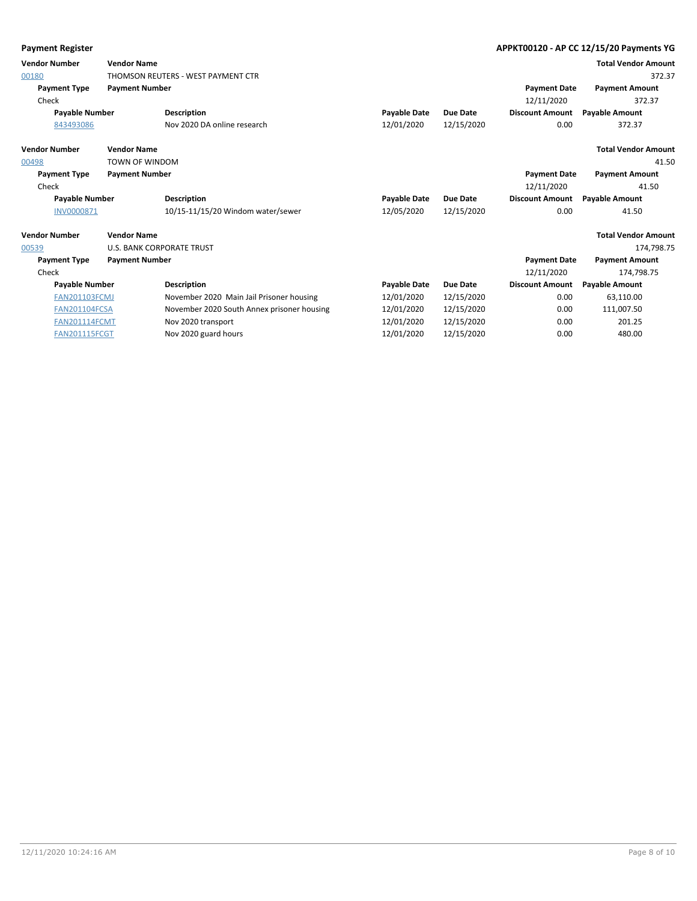| <b>Payment Register</b> |                                  |                                            |                     |                 |                        | APPKT00120 - AP CC 12/15/20 Payments YG |
|-------------------------|----------------------------------|--------------------------------------------|---------------------|-----------------|------------------------|-----------------------------------------|
| <b>Vendor Number</b>    | <b>Vendor Name</b>               |                                            |                     |                 |                        | <b>Total Vendor Amount</b>              |
| 00180                   |                                  | THOMSON REUTERS - WEST PAYMENT CTR         |                     |                 |                        | 372.37                                  |
| <b>Payment Type</b>     | <b>Payment Number</b>            |                                            |                     |                 | <b>Payment Date</b>    | <b>Payment Amount</b>                   |
| Check                   |                                  |                                            |                     |                 | 12/11/2020             | 372.37                                  |
| <b>Payable Number</b>   |                                  | <b>Description</b>                         | <b>Payable Date</b> | <b>Due Date</b> | <b>Discount Amount</b> | <b>Payable Amount</b>                   |
| 843493086               |                                  | Nov 2020 DA online research                | 12/01/2020          | 12/15/2020      | 0.00                   | 372.37                                  |
| <b>Vendor Number</b>    | <b>Vendor Name</b>               |                                            |                     |                 |                        | <b>Total Vendor Amount</b>              |
| 00498                   | <b>TOWN OF WINDOM</b>            |                                            |                     |                 |                        | 41.50                                   |
| <b>Payment Type</b>     | <b>Payment Number</b>            |                                            |                     |                 | <b>Payment Date</b>    | <b>Payment Amount</b>                   |
| Check                   |                                  |                                            |                     |                 | 12/11/2020             | 41.50                                   |
| <b>Payable Number</b>   |                                  | <b>Description</b>                         | <b>Payable Date</b> | <b>Due Date</b> | <b>Discount Amount</b> | <b>Payable Amount</b>                   |
| <b>INV0000871</b>       |                                  | 10/15-11/15/20 Windom water/sewer          | 12/05/2020          | 12/15/2020      | 0.00                   | 41.50                                   |
| <b>Vendor Number</b>    | <b>Vendor Name</b>               |                                            |                     |                 |                        | <b>Total Vendor Amount</b>              |
| 00539                   | <b>U.S. BANK CORPORATE TRUST</b> |                                            |                     |                 |                        | 174.798.75                              |
| <b>Payment Type</b>     | <b>Payment Number</b>            |                                            |                     |                 | <b>Payment Date</b>    | <b>Payment Amount</b>                   |
| Check                   |                                  |                                            |                     |                 | 12/11/2020             | 174,798.75                              |
| <b>Payable Number</b>   |                                  | <b>Description</b>                         | <b>Payable Date</b> | <b>Due Date</b> | <b>Discount Amount</b> | <b>Payable Amount</b>                   |
| <b>FAN201103FCMJ</b>    |                                  | November 2020 Main Jail Prisoner housing   | 12/01/2020          | 12/15/2020      | 0.00                   | 63,110.00                               |
| <b>FAN201104FCSA</b>    |                                  | November 2020 South Annex prisoner housing | 12/01/2020          | 12/15/2020      | 0.00                   | 111,007.50                              |
| <b>FAN201114FCMT</b>    |                                  | Nov 2020 transport                         | 12/01/2020          | 12/15/2020      | 0.00                   | 201.25                                  |
| <b>FAN201115FCGT</b>    |                                  | Nov 2020 guard hours                       | 12/01/2020          | 12/15/2020      | 0.00                   | 480.00                                  |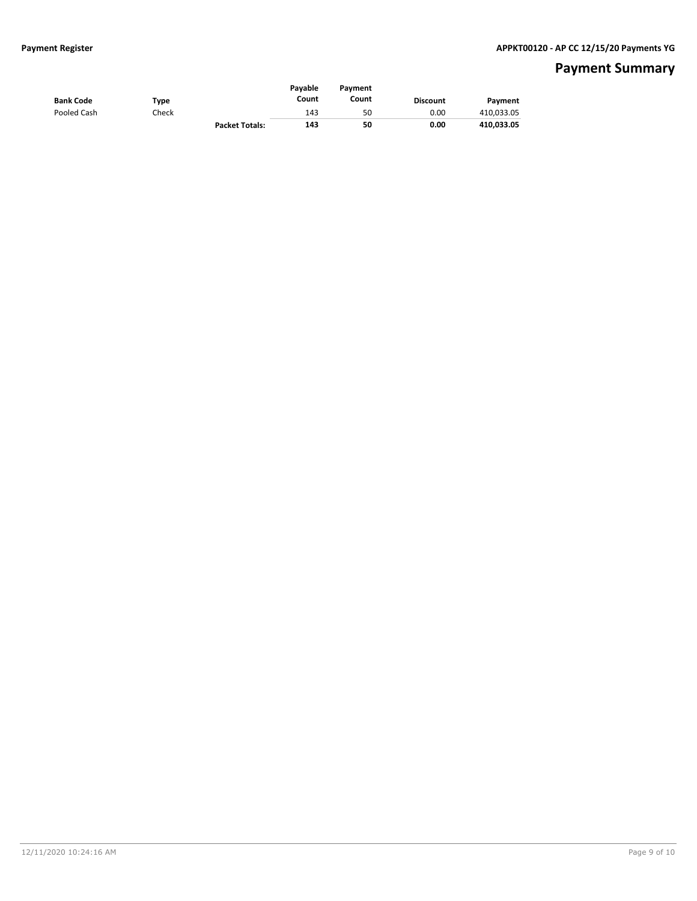# **Payment Summary**

| <b>Bank Code</b> | Type  |                       | Pavable<br>Count | Pavment<br>Count | <b>Discount</b> | Payment    |
|------------------|-------|-----------------------|------------------|------------------|-----------------|------------|
| Pooled Cash      | Check |                       | 143              | 50               | 0.00            | 410,033.05 |
|                  |       | <b>Packet Totals:</b> | 143              | 50               | 0.00            | 410,033.05 |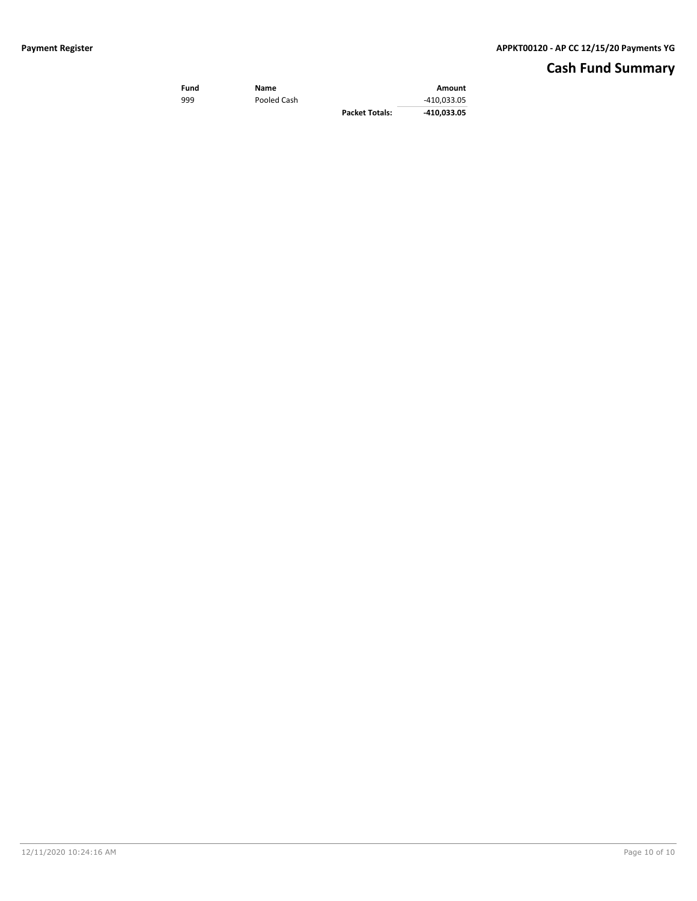# **Cash Fund Summary**

| Fund | Name        |                       | Amount      |
|------|-------------|-----------------------|-------------|
| 999  | Pooled Cash |                       | -410.033.05 |
|      |             | <b>Packet Totals:</b> | -410.033.05 |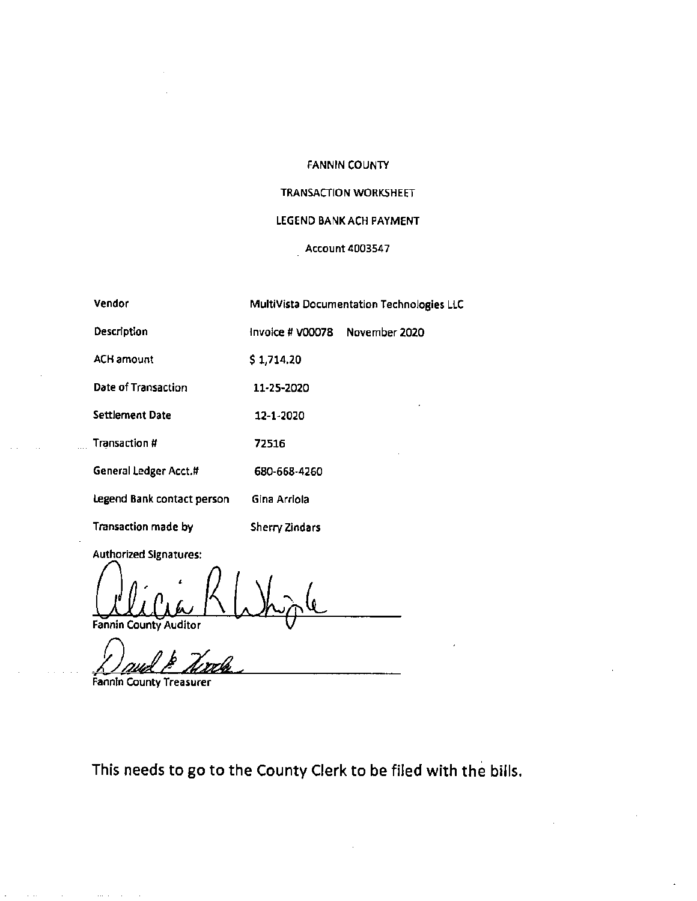#### FANNIN COUNTY

#### TRANSACTION WORKSHEET

#### LEGEND BANK ACH PAYMENT

#### Account 4003547

| Vendor                     |                  | MultiVista Documentation Technologies LLC |
|----------------------------|------------------|-------------------------------------------|
| Description                | Invoice # V00078 | November 2020                             |
| <b>ACH amount</b>          | \$1,714.20       |                                           |
| Date of Transaction        | 11-25-2020       |                                           |
| Settlement Date            | 12-1-2020        |                                           |
| Transaction #              | 72516            |                                           |
| General Ledger Acct.#      | 680-668-4260     |                                           |
| Legend Bank contact person | Gina Arriola     |                                           |
| Transaction made by        | Sherry Zindars   |                                           |

Authorized Signatures:

' Fannin County Auditor

Fannin County Treasurer

This needs to go to the County Clerk to be filed with the bills.